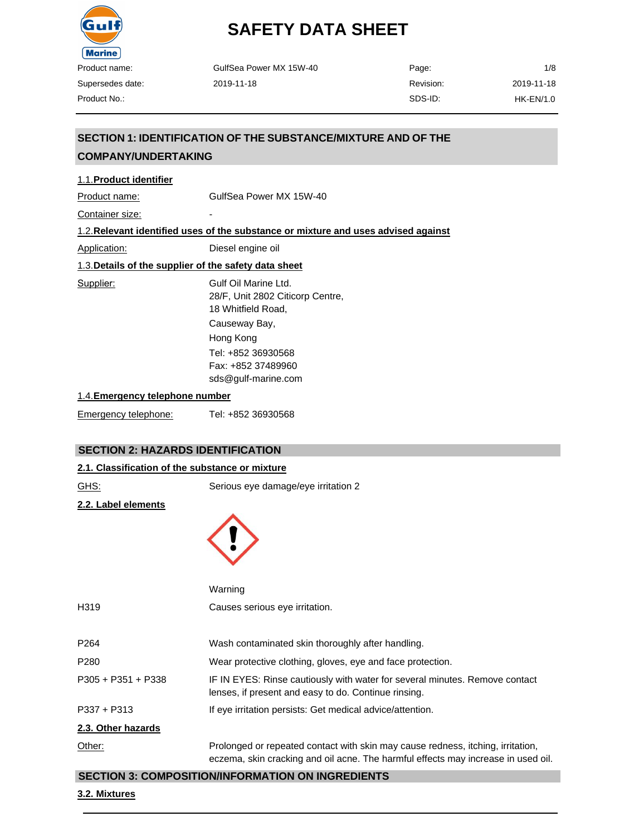

| GulfSea Power MX 15W-40 | Page:     | 1/8        |
|-------------------------|-----------|------------|
| 2019-11-18              | Revision: | 2019-11-18 |
|                         | SDS-ID:   | HK-EN/1.0  |

## 1.1.**Product identifier** Product name: GulfSea Power MX 15W-40 Container size: 1.2.**Relevant identified uses of the substance or mixture and uses advised against SECTION 1: IDENTIFICATION OF THE SUBSTANCE/MIXTURE AND OF THE COMPANY/UNDERTAKING**

Application: Diesel engine oil

1.3.**Details of the supplier of the safety data sheet**

Supplier: Gulf Oil Marine Ltd. 28/F, Unit 2802 Citicorp Centre, 18 Whitfield Road, Causeway Bay, Hong Kong Tel: +852 36930568 Fax: +852 37489960 [sds@gulf-marine.com](mailto:sds@gulf-marine.com) 1.4.**Emergency telephone number**

Emergency telephone: Tel: +852 36930568

#### **SECTION 2: HAZARDS IDENTIFICATION**

#### **2.1. Classification of the substance or mixture**

| GHS:                | Serious eye damage/eye irritation 2                                                                                                 |
|---------------------|-------------------------------------------------------------------------------------------------------------------------------------|
| 2.2. Label elements |                                                                                                                                     |
|                     | Warning                                                                                                                             |
| H319                | Causes serious eye irritation.                                                                                                      |
| P264                | Wash contaminated skin thoroughly after handling.                                                                                   |
| P280                | Wear protective clothing, gloves, eye and face protection.                                                                          |
| P305 + P351 + P338  | IF IN EYES: Rinse cautiously with water for several minutes. Remove contact<br>lenses, if present and easy to do. Continue rinsing. |
| P337 + P313         | If eye irritation persists: Get medical advice/attention.                                                                           |

#### **2.3. Other hazards**

Other: Prolonged or repeated contact with skin may cause redness, itching, irritation, eczema, skin cracking and oil acne. The harmful effects may increase in used oil.

#### **SECTION 3: COMPOSITION/INFORMATION ON INGREDIENTS**

#### **3.2. Mixtures**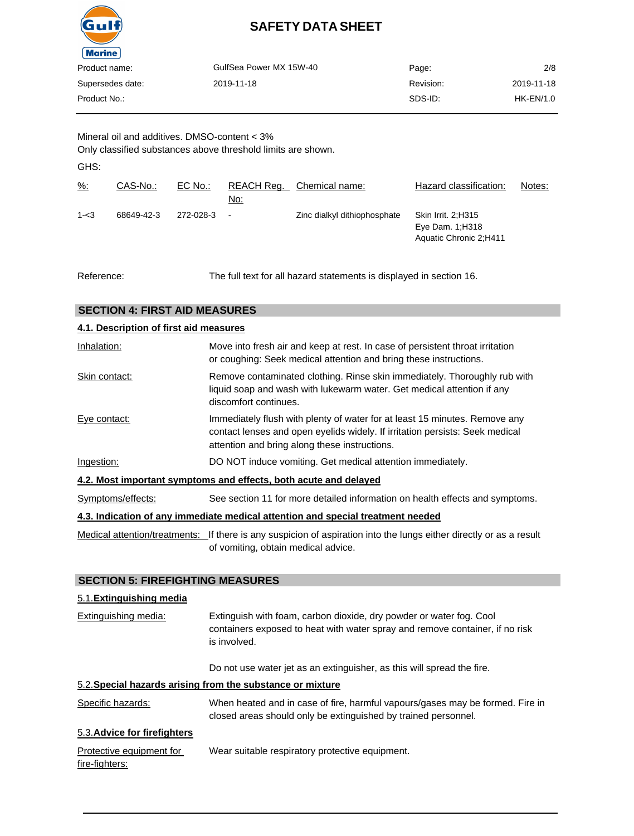

| Product name:    | GulfSea Power MX 15W-40 | Page:     | 2/8         |
|------------------|-------------------------|-----------|-------------|
|                  |                         |           |             |
| Supersedes date: | 2019-11-18              | Revision: | 2019-11-18  |
| Product No.:     |                         | SDS-ID:   | $HK-EN/1.0$ |
|                  |                         |           |             |

Mineral oil and additives. DMSO-content < 3% Only classified substances above threshold limits are shown.

GHS:

| $\frac{9}{6}$ : | CAS-No.:   | $EC$ No.: | REACH Reg.<br>No: | Chemical name:               | Hazard classification:                                            | Notes: |
|-----------------|------------|-----------|-------------------|------------------------------|-------------------------------------------------------------------|--------|
| $1 - 3$         | 68649-42-3 | 272-028-3 | $\blacksquare$    | Zinc dialkyl dithiophosphate | Skin Irrit. 2:H315<br>Eye Dam. $1:H318$<br>Aquatic Chronic 2;H411 |        |

Reference: The full text for all hazard statements is displayed in section 16.

#### **SECTION 4: FIRST AID MEASURES**

| 4.1. Description of first aid measures |                                                                                                                                                                                                             |
|----------------------------------------|-------------------------------------------------------------------------------------------------------------------------------------------------------------------------------------------------------------|
| Inhalation:                            | Move into fresh air and keep at rest. In case of persistent throat irritation<br>or coughing: Seek medical attention and bring these instructions.                                                          |
| Skin contact:                          | Remove contaminated clothing. Rinse skin immediately. Thoroughly rub with<br>liquid soap and wash with lukewarm water. Get medical attention if any<br>discomfort continues.                                |
| Eye contact:                           | Immediately flush with plenty of water for at least 15 minutes. Remove any<br>contact lenses and open eyelids widely. If irritation persists: Seek medical<br>attention and bring along these instructions. |
| Ingestion:                             | DO NOT induce vomiting. Get medical attention immediately.                                                                                                                                                  |
|                                        | 4.2. Most important symptoms and effects, both acute and delayed                                                                                                                                            |
| Symptoms/effects:                      | See section 11 for more detailed information on health effects and symptoms.                                                                                                                                |
|                                        | 4.3. Indication of any immediate medical attention and special treatment needed                                                                                                                             |
|                                        |                                                                                                                                                                                                             |

Medical attention/treatments: If there is any suspicion of aspiration into the lungs either directly or as a result of vomiting, obtain medical advice.

#### **SECTION 5: FIREFIGHTING MEASURES**

#### 5.1.**Extinguishing media**

| Extinguishing media:                       | Extinguish with foam, carbon dioxide, dry powder or water fog. Cool<br>containers exposed to heat with water spray and remove container, if no risk<br>is involved. |  |  |
|--------------------------------------------|---------------------------------------------------------------------------------------------------------------------------------------------------------------------|--|--|
|                                            | Do not use water jet as an extinguisher, as this will spread the fire.                                                                                              |  |  |
|                                            | 5.2. Special hazards arising from the substance or mixture                                                                                                          |  |  |
| Specific hazards:                          | When heated and in case of fire, harmful vapours/gases may be formed. Fire in<br>closed areas should only be extinguished by trained personnel.                     |  |  |
| 5.3. Advice for firefighters               |                                                                                                                                                                     |  |  |
| Protective equipment for<br>fire-fighters: | Wear suitable respiratory protective equipment.                                                                                                                     |  |  |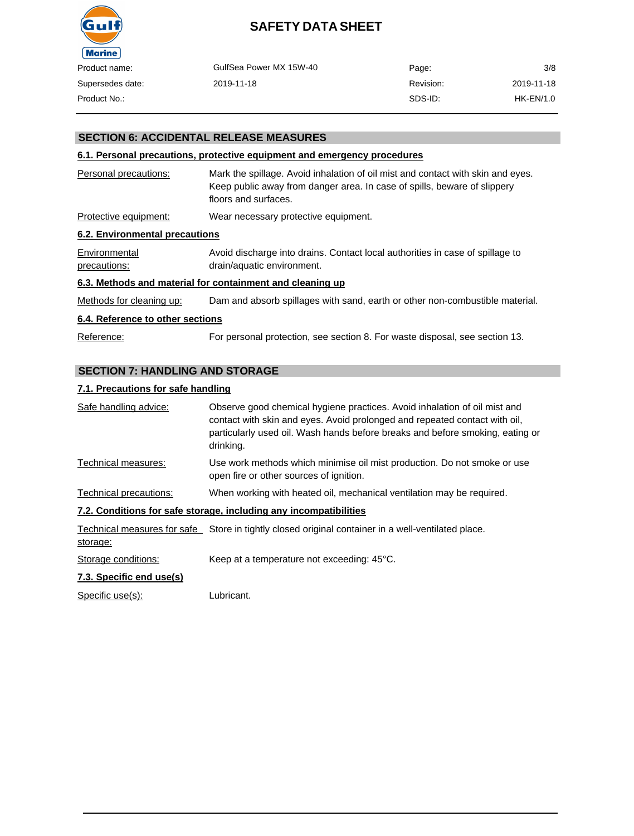

| Product name:    | GulfSea Power MX 15W-40 | Page:     | 3/8         |
|------------------|-------------------------|-----------|-------------|
| Supersedes date: | 2019-11-18              | Revision: | 2019-11-18  |
| Product No.:-    |                         | SDS-ID:   | $HK-EN/1.0$ |

#### **SECTION 6: ACCIDENTAL RELEASE MEASURES**

#### **6.1. Personal precautions, protective equipment and emergency procedures**

| Personal precautions:          | Mark the spillage. Avoid inhalation of oil mist and contact with skin and eyes.<br>Keep public away from danger area. In case of spills, beware of slippery<br>floors and surfaces. |
|--------------------------------|-------------------------------------------------------------------------------------------------------------------------------------------------------------------------------------|
| Protective equipment:          | Wear necessary protective equipment.                                                                                                                                                |
| 6.2. Environmental precautions |                                                                                                                                                                                     |
| Environmental<br>precautions:  | Avoid discharge into drains. Contact local authorities in case of spillage to<br>drain/aquatic environment.                                                                         |
|                                | C 3. Methodo and material fer containment and alconing un                                                                                                                           |

#### **6.3. Methods and material for containment and cleaning up**

Methods for cleaning up: Dam and absorb spillages with sand, earth or other non-combustible material.

#### **6.4. Reference to other sections**

Reference: For personal protection, see section 8. For waste disposal, see section 13.

#### **SECTION 7: HANDLING AND STORAGE**

#### **7.1. Precautions for safe handling**

| Safe handling advice:    | Observe good chemical hygiene practices. Avoid inhalation of oil mist and<br>contact with skin and eyes. Avoid prolonged and repeated contact with oil,<br>particularly used oil. Wash hands before breaks and before smoking, eating or<br>drinking. |
|--------------------------|-------------------------------------------------------------------------------------------------------------------------------------------------------------------------------------------------------------------------------------------------------|
| Technical measures:      | Use work methods which minimise oil mist production. Do not smoke or use<br>open fire or other sources of ignition.                                                                                                                                   |
| Technical precautions:   | When working with heated oil, mechanical ventilation may be required.                                                                                                                                                                                 |
|                          | 7.2. Conditions for safe storage, including any incompatibilities                                                                                                                                                                                     |
| storage:                 | Technical measures for safe Store in tightly closed original container in a well-ventilated place.                                                                                                                                                    |
| Storage conditions:      | Keep at a temperature not exceeding: 45°C.                                                                                                                                                                                                            |
| 7.3. Specific end use(s) |                                                                                                                                                                                                                                                       |

Specific use(s): Lubricant.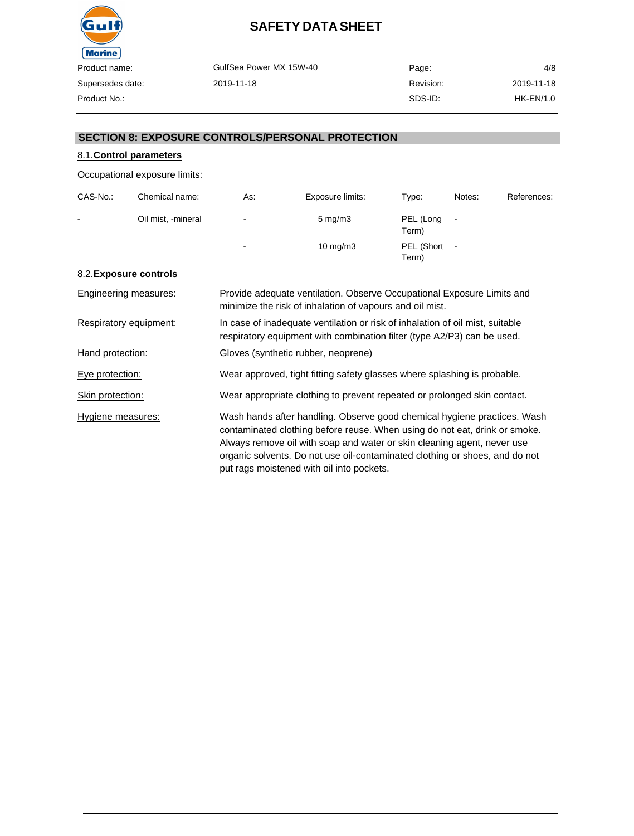

| oduct name:    | GulfSea Power MX 15W-40 | Page:     | 4/8        |
|----------------|-------------------------|-----------|------------|
| persedes date: | 2019-11-18              | Revision: | 2019-11-18 |
| oduct No.:     |                         | SDS-ID:   | HK-EN/1.0  |

#### **SECTION 8: EXPOSURE CONTROLS/PERSONAL PROTECTION**

### 8.1.**Control parameters**

Occupational exposure limits:

| CAS-No.:       | Chemical name:     | <u>As:</u>     | Exposure limits:   | Type:               | Notes:                   | References: |
|----------------|--------------------|----------------|--------------------|---------------------|--------------------------|-------------|
| $\blacksquare$ | Oil mist, -mineral | $\blacksquare$ | $5 \text{ mg/m}$ 3 | PEL (Long<br>Term)  | $\blacksquare$           |             |
|                |                    | ۰              | $10 \text{ mg/m}$  | PEL (Short<br>Term) | $\overline{\phantom{a}}$ |             |

#### 8.2.**Exposure controls**

| Engineering measures:  | Provide adequate ventilation. Observe Occupational Exposure Limits and<br>minimize the risk of inhalation of vapours and oil mist.                                                                                                                                                                                                                            |
|------------------------|---------------------------------------------------------------------------------------------------------------------------------------------------------------------------------------------------------------------------------------------------------------------------------------------------------------------------------------------------------------|
| Respiratory equipment: | In case of inadequate ventilation or risk of inhalation of oil mist, suitable<br>respiratory equipment with combination filter (type A2/P3) can be used.                                                                                                                                                                                                      |
| Hand protection:       | Gloves (synthetic rubber, neoprene)                                                                                                                                                                                                                                                                                                                           |
| Eye protection:        | Wear approved, tight fitting safety glasses where splashing is probable.                                                                                                                                                                                                                                                                                      |
| Skin protection:       | Wear appropriate clothing to prevent repeated or prolonged skin contact.                                                                                                                                                                                                                                                                                      |
| Hygiene measures:      | Wash hands after handling. Observe good chemical hygiene practices. Wash<br>contaminated clothing before reuse. When using do not eat, drink or smoke.<br>Always remove oil with soap and water or skin cleaning agent, never use<br>organic solvents. Do not use oil-contaminated clothing or shoes, and do not<br>put rags moistened with oil into pockets. |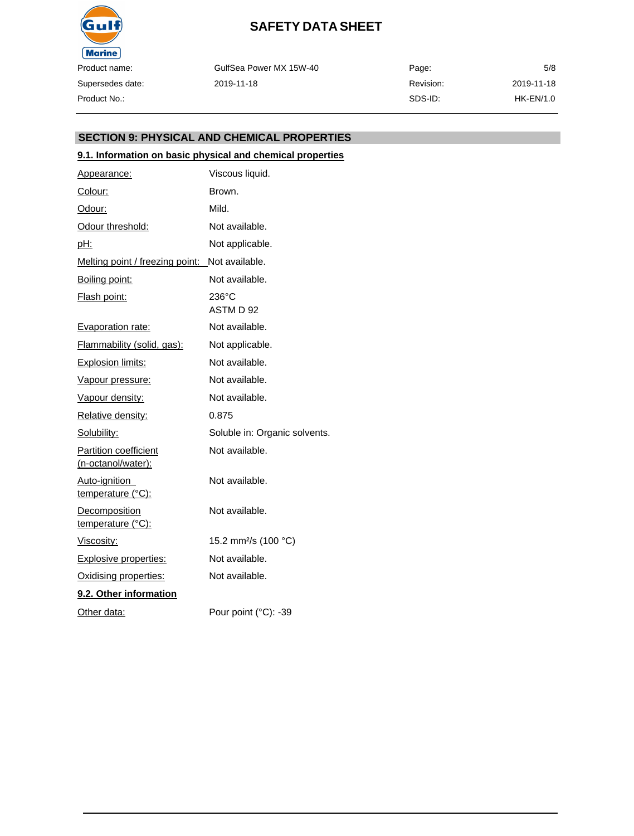

GulfSea Power MX 15W-40 2019-11-18

| Page:     | 5/8         |
|-----------|-------------|
| Revision: | 2019-11-18  |
| SDS-ID:   | $HK-EN/1.0$ |

#### **SECTION 9: PHYSICAL AND CHEMICAL PROPERTIES**

#### **9.1. Information on basic physical and chemical properties**

| Appearance:                                        | Viscous liquid.                  |
|----------------------------------------------------|----------------------------------|
| Colour:                                            | Brown.                           |
| Odour:                                             | Mild.                            |
| Odour threshold:                                   | Not available.                   |
| <u>pH:</u>                                         | Not applicable.                  |
| Melting point / freezing point:                    | Not available.                   |
| Boiling point:                                     | Not available.                   |
| Flash point:                                       | $236^{\circ}$ C<br>ASTM D 92     |
| <b>Evaporation rate:</b>                           | Not available.                   |
| Flammability (solid, gas):                         | Not applicable.                  |
| <b>Explosion limits:</b>                           | Not available.                   |
| Vapour pressure:                                   | Not available.                   |
| Vapour density:                                    | Not available.                   |
| Relative density:                                  | 0.875                            |
| Solubility:                                        | Soluble in: Organic solvents.    |
| <b>Partition coefficient</b><br>(n-octanol/water): | Not available.                   |
| Auto-ignition<br>temperature (°C):                 | Not available.                   |
| Decomposition<br>temperature (°C):                 | Not available.                   |
| Viscosity:                                         | 15.2 mm <sup>2</sup> /s (100 °C) |
| <b>Explosive properties:</b>                       | Not available.                   |
| Oxidising properties:                              | Not available.                   |
| 9.2. Other information                             |                                  |
| Other data:                                        | Pour point (°C): -39             |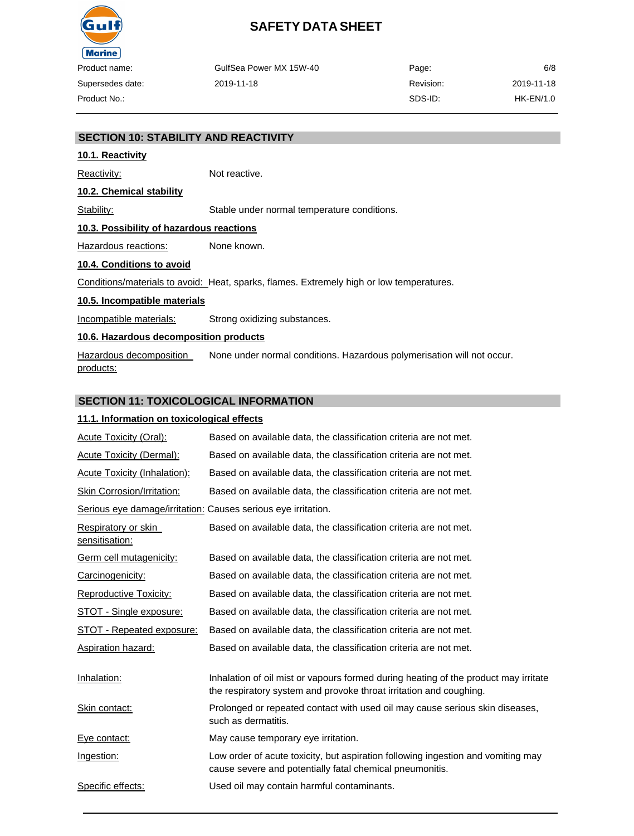

|    | GulfSea Power MX 15W-40 | Page:     | 6/8        |
|----|-------------------------|-----------|------------|
| e: | 2019-11-18              | Revision: | 2019-11-18 |
|    |                         | SDS-ID:   | HK-EN/1.0  |

#### **SECTION 10: STABILITY AND REACTIVITY**

#### **10.1. Reactivity**

Reactivity: Not reactive.

**10.2. Chemical stability**

Stability: Stable under normal temperature conditions.

#### **10.3. Possibility of hazardous reactions**

Hazardous reactions: None known.

#### **10.4. Conditions to avoid**

Conditions/materials to avoid: Heat, sparks, flames. Extremely high or low temperatures.

#### **10.5. Incompatible materials**

Incompatible materials: Strong oxidizing substances.

#### **10.6. Hazardous decomposition products**

Hazardous decomposition products: None under normal conditions. Hazardous polymerisation will not occur.

#### **SECTION 11: TOXICOLOGICAL INFORMATION**

#### **11.1. Information on toxicological effects**

| Acute Toxicity (Oral):                                        | Based on available data, the classification criteria are not met.                                                                                         |
|---------------------------------------------------------------|-----------------------------------------------------------------------------------------------------------------------------------------------------------|
| <b>Acute Toxicity (Dermal):</b>                               | Based on available data, the classification criteria are not met.                                                                                         |
| <b>Acute Toxicity (Inhalation):</b>                           | Based on available data, the classification criteria are not met.                                                                                         |
| Skin Corrosion/Irritation:                                    | Based on available data, the classification criteria are not met.                                                                                         |
| Serious eye damage/irritation: Causes serious eye irritation. |                                                                                                                                                           |
| Respiratory or skin<br>sensitisation:                         | Based on available data, the classification criteria are not met.                                                                                         |
| <b>Germ cell mutagenicity:</b>                                | Based on available data, the classification criteria are not met.                                                                                         |
| Carcinogenicity:                                              | Based on available data, the classification criteria are not met.                                                                                         |
| Reproductive Toxicity:                                        | Based on available data, the classification criteria are not met.                                                                                         |
| <b>STOT - Single exposure:</b>                                | Based on available data, the classification criteria are not met.                                                                                         |
| STOT - Repeated exposure:                                     | Based on available data, the classification criteria are not met.                                                                                         |
| <b>Aspiration hazard:</b>                                     | Based on available data, the classification criteria are not met.                                                                                         |
| Inhalation:                                                   | Inhalation of oil mist or vapours formed during heating of the product may irritate<br>the respiratory system and provoke throat irritation and coughing. |
| Skin contact:                                                 | Prolonged or repeated contact with used oil may cause serious skin diseases,<br>such as dermatitis.                                                       |
| Eye contact:                                                  | May cause temporary eye irritation.                                                                                                                       |
| Ingestion:                                                    | Low order of acute toxicity, but aspiration following ingestion and vomiting may<br>cause severe and potentially fatal chemical pneumonitis.              |
| Specific effects:                                             | Used oil may contain harmful contaminants.                                                                                                                |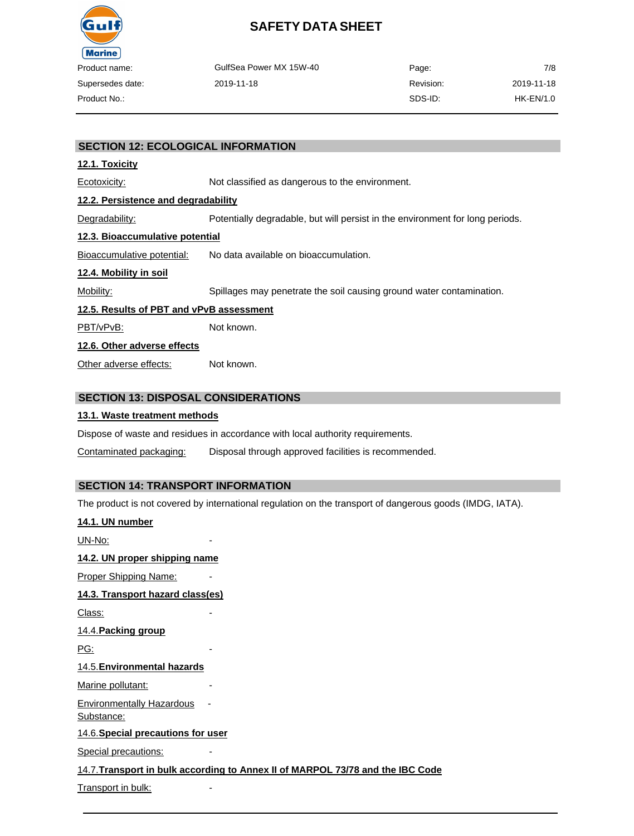

| oduct name:     | GulfSea Power MX 15W-40 | Page:     | 7/8        |
|-----------------|-------------------------|-----------|------------|
| upersedes date: | 2019-11-18              | Revision: | 2019-11-18 |
| oduct No.:      |                         | SDS-ID:   | HK-EN/1.0  |

#### **SECTION 12: ECOLOGICAL INFORMATION**

#### **12.1. Toxicity**

Ecotoxicity: Not classified as dangerous to the environment.

#### **12.2. Persistence and degradability**

Degradability: Potentially degradable, but will persist in the environment for long periods.

#### **12.3. Bioaccumulative potential**

Bioaccumulative potential: No data available on bioaccumulation.

#### **12.4. Mobility in soil**

Mobility: Spillages may penetrate the soil causing ground water contamination.

#### **12.5. Results of PBT and vPvB assessment**

PBT/vPvB: Not known.

#### **12.6. Other adverse effects**

Other adverse effects: Not known.

#### **SECTION 13: DISPOSAL CONSIDERATIONS**

#### **13.1. Waste treatment methods**

Dispose of waste and residues in accordance with local authority requirements.

Contaminated packaging: Disposal through approved facilities is recommended.

#### **SECTION 14: TRANSPORT INFORMATION**

The product is not covered by international regulation on the transport of dangerous goods (IMDG, IATA).

| 14.1. UN number                                |                                                                                |
|------------------------------------------------|--------------------------------------------------------------------------------|
| UN-No:                                         |                                                                                |
| 14.2. UN proper shipping name                  |                                                                                |
| Proper Shipping Name:                          |                                                                                |
| 14.3. Transport hazard class(es)               |                                                                                |
| Class:                                         |                                                                                |
| 14.4. Packing group                            |                                                                                |
| PG:                                            |                                                                                |
| 14.5. Environmental hazards                    |                                                                                |
| Marine pollutant:                              |                                                                                |
| <b>Environmentally Hazardous</b><br>Substance: |                                                                                |
| 14.6. Special precautions for user             |                                                                                |
| <b>Special precautions:</b>                    |                                                                                |
|                                                | 14.7. Transport in bulk according to Annex II of MARPOL 73/78 and the IBC Code |
| Transport in bulk:                             |                                                                                |